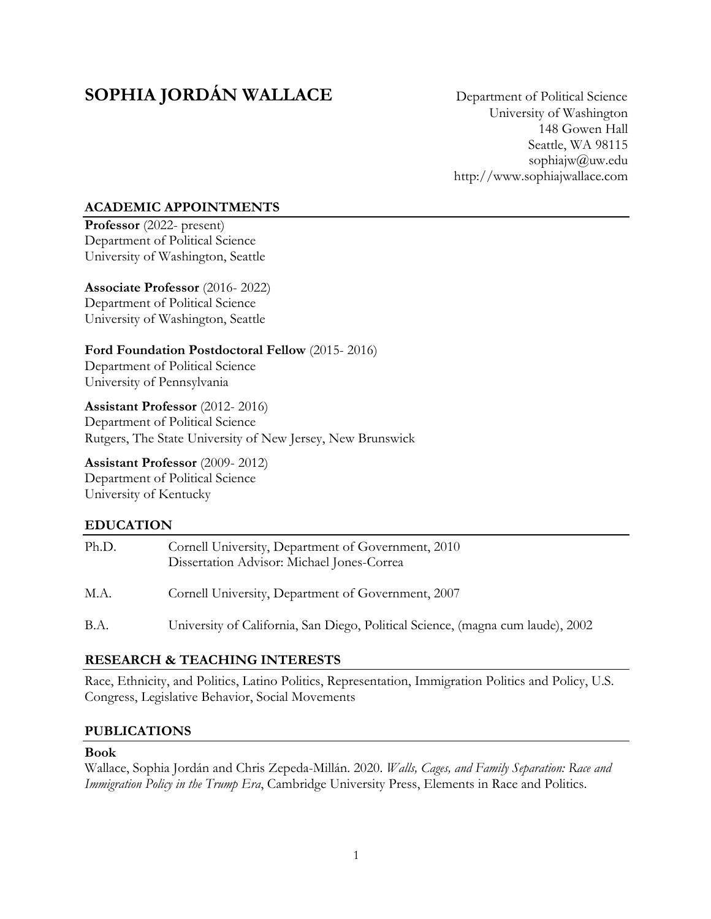# **SOPHIA JORDÁN WALLACE** Department of Political Science

University of Washington 148 Gowen Hall Seattle, WA 98115 sophiajw@uw.edu http://www.sophiajwallace.com

# **ACADEMIC APPOINTMENTS**

**Professor** (2022- present) Department of Political Science University of Washington, Seattle

**Associate Professor** (2016- 2022) Department of Political Science University of Washington, Seattle

**Ford Foundation Postdoctoral Fellow** (2015- 2016) Department of Political Science University of Pennsylvania

**Assistant Professor** (2012- 2016) Department of Political Science Rutgers, The State University of New Jersey, New Brunswick

**Assistant Professor** (2009- 2012) Department of Political Science University of Kentucky

# **EDUCATION**

| Ph.D. | Cornell University, Department of Government, 2010<br>Dissertation Advisor: Michael Jones-Correa |
|-------|--------------------------------------------------------------------------------------------------|
| M.A.  | Cornell University, Department of Government, 2007                                               |
| B.A.  | University of California, San Diego, Political Science, (magna cum laude), 2002                  |

### **RESEARCH & TEACHING INTERESTS**

Race, Ethnicity, and Politics, Latino Politics, Representation, Immigration Politics and Policy, U.S. Congress, Legislative Behavior, Social Movements

# **PUBLICATIONS**

### **Book**

Wallace, Sophia Jordán and Chris Zepeda-Millán. 2020. *Walls, Cages, and Family Separation: Race and Immigration Policy in the Trump Era*, Cambridge University Press, Elements in Race and Politics.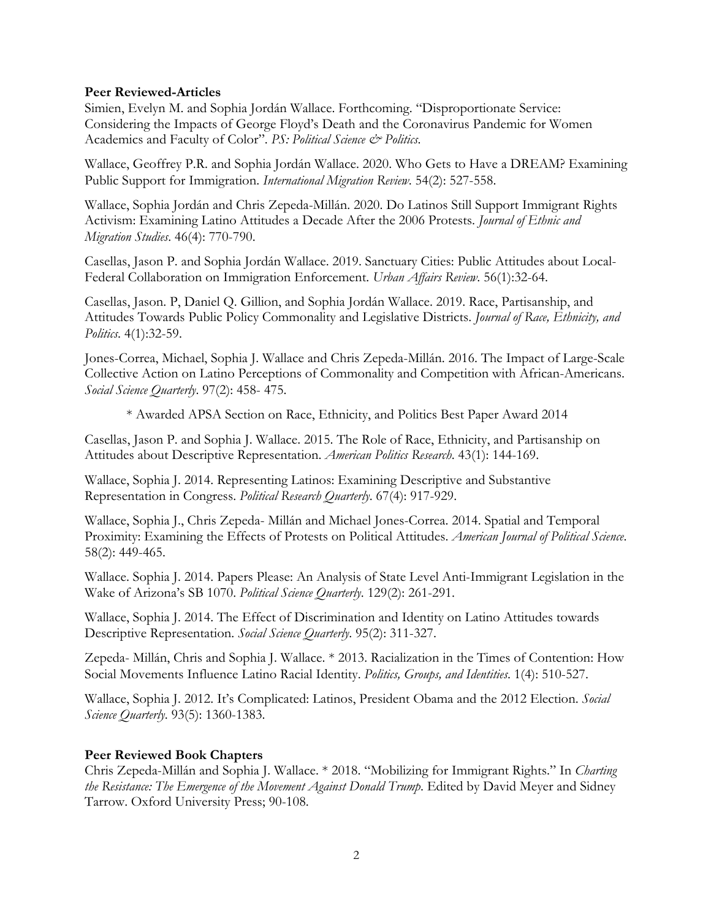### **Peer Reviewed-Articles**

Simien, Evelyn M. and Sophia Jordán Wallace. Forthcoming. "Disproportionate Service: Considering the Impacts of George Floyd's Death and the Coronavirus Pandemic for Women Academics and Faculty of Color". *PS: Political Science & Politics*.

Wallace, Geoffrey P.R. and Sophia Jordán Wallace. 2020. Who Gets to Have a DREAM? Examining Public Support for Immigration. *International Migration Review*. 54(2): 527-558.

Wallace, Sophia Jordán and Chris Zepeda-Millán. 2020. Do Latinos Still Support Immigrant Rights Activism: Examining Latino Attitudes a Decade After the 2006 Protests. *Journal of Ethnic and Migration Studies*. 46(4): 770-790.

Casellas, Jason P. and Sophia Jordán Wallace. 2019. Sanctuary Cities: Public Attitudes about Local-Federal Collaboration on Immigration Enforcement. *Urban Affairs Review*. 56(1):32-64.

Casellas, Jason. P, Daniel Q. Gillion, and Sophia Jordán Wallace. 2019. Race, Partisanship, and Attitudes Towards Public Policy Commonality and Legislative Districts. *Journal of Race, Ethnicity, and Politics*. 4(1):32-59.

Jones-Correa, Michael, Sophia J. Wallace and Chris Zepeda-Millán. 2016. The Impact of Large-Scale Collective Action on Latino Perceptions of Commonality and Competition with African-Americans. *Social Science Quarterly*. 97(2): 458- 475.

\* Awarded APSA Section on Race, Ethnicity, and Politics Best Paper Award 2014

Casellas, Jason P. and Sophia J. Wallace. 2015. The Role of Race, Ethnicity, and Partisanship on Attitudes about Descriptive Representation. *American Politics Research*. 43(1): 144-169.

Wallace, Sophia J. 2014. Representing Latinos: Examining Descriptive and Substantive Representation in Congress. *Political Research Quarterly*. 67(4): 917-929.

Wallace, Sophia J., Chris Zepeda- Millán and Michael Jones-Correa. 2014. Spatial and Temporal Proximity: Examining the Effects of Protests on Political Attitudes. *American Journal of Political Science*. 58(2): 449-465.

Wallace. Sophia J. 2014. Papers Please: An Analysis of State Level Anti-Immigrant Legislation in the Wake of Arizona's SB 1070. *Political Science Quarterly*. 129(2): 261-291.

Wallace, Sophia J. 2014. The Effect of Discrimination and Identity on Latino Attitudes towards Descriptive Representation. *Social Science Quarterly*. 95(2): 311-327.

Zepeda- Millán, Chris and Sophia J. Wallace. \* 2013. Racialization in the Times of Contention: How Social Movements Influence Latino Racial Identity. *Politics, Groups, and Identities*. 1(4): 510-527.

Wallace, Sophia J. 2012. It's Complicated: Latinos, President Obama and the 2012 Election. *Social Science Quarterly*. 93(5): 1360-1383.

### **Peer Reviewed Book Chapters**

Chris Zepeda-Millán and Sophia J. Wallace. \* 2018. "Mobilizing for Immigrant Rights." In *Charting the Resistance: The Emergence of the Movement Against Donald Trump*. Edited by David Meyer and Sidney Tarrow. Oxford University Press; 90-108.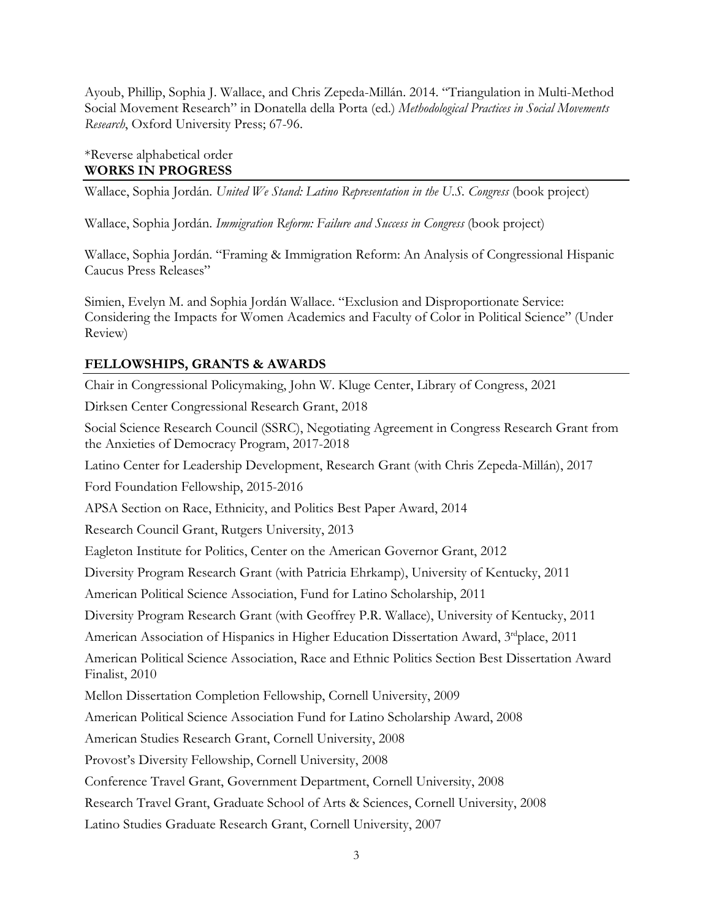Ayoub, Phillip, Sophia J. Wallace, and Chris Zepeda-Millán. 2014. "Triangulation in Multi-Method Social Movement Research" in Donatella della Porta (ed.) *Methodological Practices in Social Movements Research*, Oxford University Press; 67-96.

### \*Reverse alphabetical order **WORKS IN PROGRESS**

Wallace, Sophia Jordán. *United We Stand: Latino Representation in the U.S. Congress* (book project)

Wallace, Sophia Jordán. *Immigration Reform: Failure and Success in Congress* (book project)

Wallace, Sophia Jordán. "Framing & Immigration Reform: An Analysis of Congressional Hispanic Caucus Press Releases"

Simien, Evelyn M. and Sophia Jordán Wallace. "Exclusion and Disproportionate Service: Considering the Impacts for Women Academics and Faculty of Color in Political Science" (Under Review)

# **FELLOWSHIPS, GRANTS & AWARDS**

Chair in Congressional Policymaking, John W. Kluge Center, Library of Congress, 2021

Dirksen Center Congressional Research Grant, 2018

Social Science Research Council (SSRC), Negotiating Agreement in Congress Research Grant from the Anxieties of Democracy Program, 2017-2018

Latino Center for Leadership Development, Research Grant (with Chris Zepeda-Millán), 2017

Ford Foundation Fellowship, 2015-2016

APSA Section on Race, Ethnicity, and Politics Best Paper Award, 2014

Research Council Grant, Rutgers University, 2013

Eagleton Institute for Politics, Center on the American Governor Grant, 2012

Diversity Program Research Grant (with Patricia Ehrkamp), University of Kentucky, 2011

American Political Science Association, Fund for Latino Scholarship, 2011

Diversity Program Research Grant (with Geoffrey P.R. Wallace), University of Kentucky, 2011

American Association of Hispanics in Higher Education Dissertation Award,  $3<sup>rd</sup>$ place, 2011

American Political Science Association, Race and Ethnic Politics Section Best Dissertation Award Finalist, 2010

Mellon Dissertation Completion Fellowship, Cornell University, 2009

American Political Science Association Fund for Latino Scholarship Award, 2008

American Studies Research Grant, Cornell University, 2008

Provost's Diversity Fellowship, Cornell University, 2008

Conference Travel Grant, Government Department, Cornell University, 2008

Research Travel Grant, Graduate School of Arts & Sciences, Cornell University, 2008

Latino Studies Graduate Research Grant, Cornell University, 2007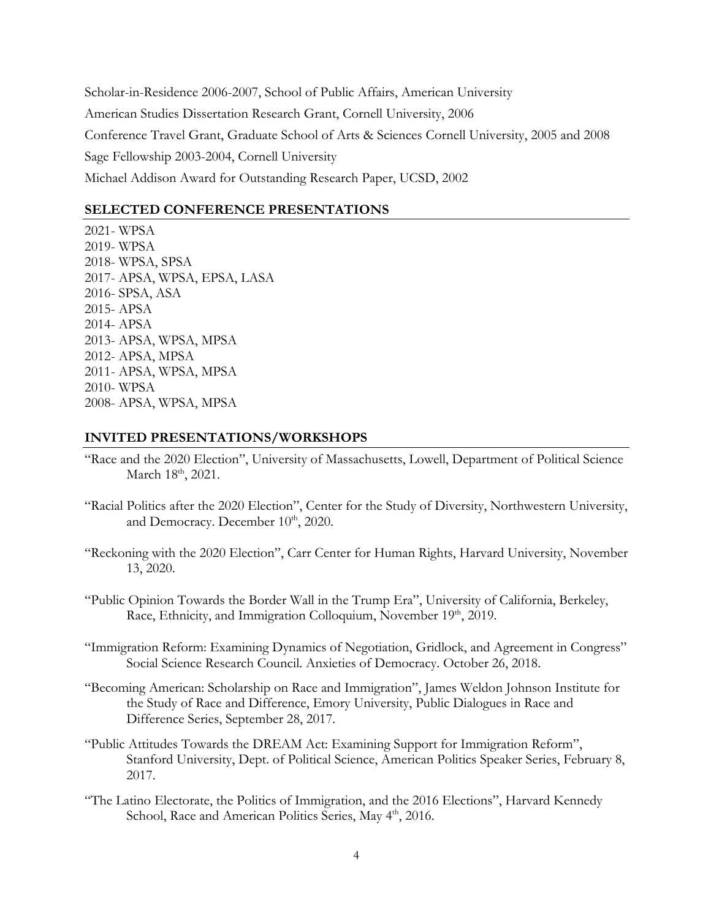Scholar-in-Residence 2006-2007, School of Public Affairs, American University American Studies Dissertation Research Grant, Cornell University, 2006 Conference Travel Grant, Graduate School of Arts & Sciences Cornell University, 2005 and 2008 Sage Fellowship 2003-2004, Cornell University Michael Addison Award for Outstanding Research Paper, UCSD, 2002

#### **SELECTED CONFERENCE PRESENTATIONS**

2021- WPSA 2019- WPSA 2018- WPSA, SPSA 2017- APSA, WPSA, EPSA, LASA 2016- SPSA, ASA 2015- APSA 2014- APSA 2013- APSA, WPSA, MPSA 2012- APSA, MPSA 2011- APSA, WPSA, MPSA 2010- WPSA 2008- APSA, WPSA, MPSA

#### **INVITED PRESENTATIONS/WORKSHOPS**

- "Race and the 2020 Election", University of Massachusetts, Lowell, Department of Political Science March 18<sup>th</sup>, 2021.
- "Racial Politics after the 2020 Election", Center for the Study of Diversity, Northwestern University, and Democracy. December  $10^{th}$ , 2020.
- "Reckoning with the 2020 Election", Carr Center for Human Rights, Harvard University, November 13, 2020.
- "Public Opinion Towards the Border Wall in the Trump Era", University of California, Berkeley, Race, Ethnicity, and Immigration Colloquium, November 19th, 2019.
- "Immigration Reform: Examining Dynamics of Negotiation, Gridlock, and Agreement in Congress" Social Science Research Council. Anxieties of Democracy. October 26, 2018.
- "Becoming American: Scholarship on Race and Immigration", James Weldon Johnson Institute for the Study of Race and Difference, Emory University, Public Dialogues in Race and Difference Series, September 28, 2017.
- "Public Attitudes Towards the DREAM Act: Examining Support for Immigration Reform", Stanford University, Dept. of Political Science, American Politics Speaker Series, February 8, 2017.
- "The Latino Electorate, the Politics of Immigration, and the 2016 Elections", Harvard Kennedy School, Race and American Politics Series, May 4<sup>th</sup>, 2016.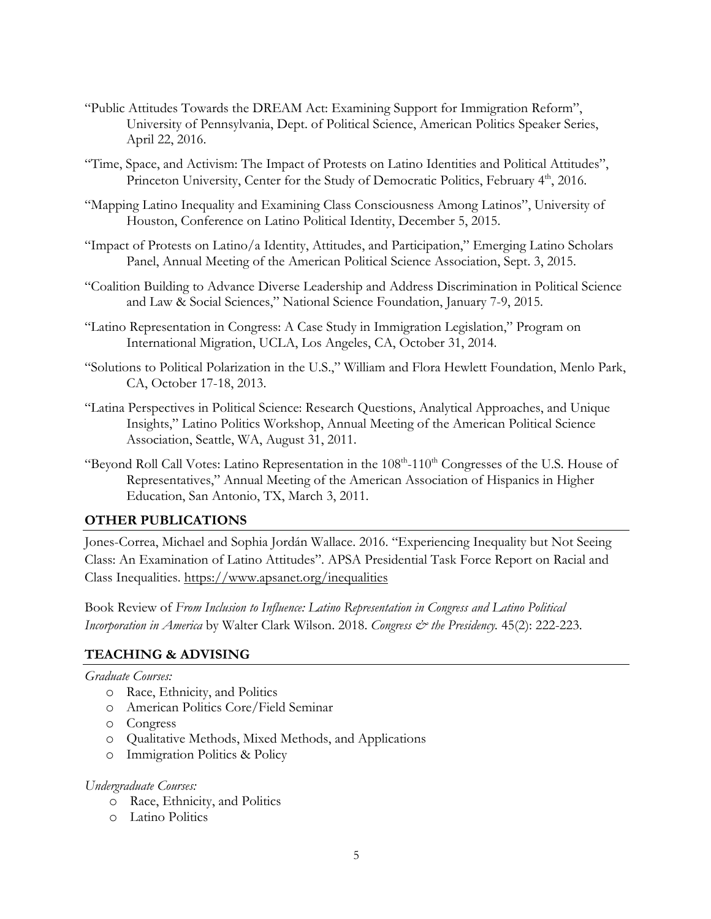- "Public Attitudes Towards the DREAM Act: Examining Support for Immigration Reform", University of Pennsylvania, Dept. of Political Science, American Politics Speaker Series, April 22, 2016.
- "Time, Space, and Activism: The Impact of Protests on Latino Identities and Political Attitudes", Princeton University, Center for the Study of Democratic Politics, February 4<sup>th</sup>, 2016.
- "Mapping Latino Inequality and Examining Class Consciousness Among Latinos", University of Houston, Conference on Latino Political Identity, December 5, 2015.
- "Impact of Protests on Latino/a Identity, Attitudes, and Participation," Emerging Latino Scholars Panel, Annual Meeting of the American Political Science Association, Sept. 3, 2015.
- "Coalition Building to Advance Diverse Leadership and Address Discrimination in Political Science and Law & Social Sciences," National Science Foundation, January 7-9, 2015.
- "Latino Representation in Congress: A Case Study in Immigration Legislation," Program on International Migration, UCLA, Los Angeles, CA, October 31, 2014.
- "Solutions to Political Polarization in the U.S.," William and Flora Hewlett Foundation, Menlo Park, CA, October 17-18, 2013.
- "Latina Perspectives in Political Science: Research Questions, Analytical Approaches, and Unique Insights," Latino Politics Workshop, Annual Meeting of the American Political Science Association, Seattle, WA, August 31, 2011.
- "Beyond Roll Call Votes: Latino Representation in the 108<sup>th</sup>-110<sup>th</sup> Congresses of the U.S. House of Representatives," Annual Meeting of the American Association of Hispanics in Higher Education, San Antonio, TX, March 3, 2011.

### **OTHER PUBLICATIONS**

Jones-Correa, Michael and Sophia Jordán Wallace. 2016. "Experiencing Inequality but Not Seeing Class: An Examination of Latino Attitudes". APSA Presidential Task Force Report on Racial and Class Inequalities. https://www.apsanet.org/inequalities

Book Review of *From Inclusion to Influence: Latino Representation in Congress and Latino Political Incorporation in America* by Walter Clark Wilson. 2018. *Congress & the Presidency.* 45(2): 222-223.

### **TEACHING & ADVISING**

*Graduate Courses:*

- o Race, Ethnicity, and Politics
- o American Politics Core/Field Seminar
- o Congress
- o Qualitative Methods, Mixed Methods, and Applications
- o Immigration Politics & Policy

#### *Undergraduate Courses:*

- o Race, Ethnicity, and Politics
- o Latino Politics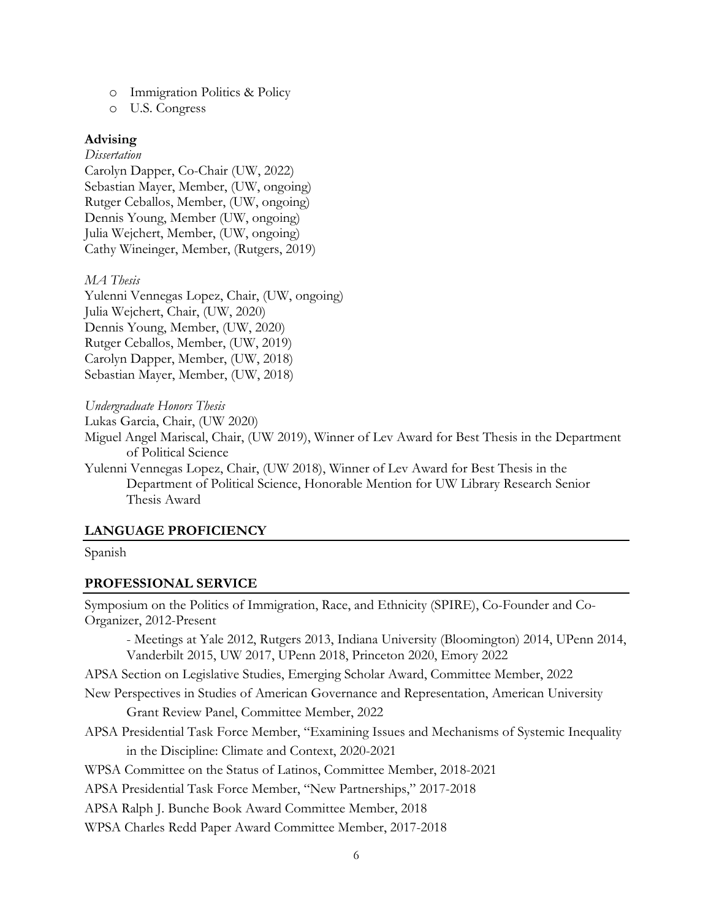- o Immigration Politics & Policy
- o U.S. Congress

#### **Advising**

#### *Dissertation*

Carolyn Dapper, Co-Chair (UW, 2022) Sebastian Mayer, Member, (UW, ongoing) Rutger Ceballos, Member, (UW, ongoing) Dennis Young, Member (UW, ongoing) Julia Wejchert, Member, (UW, ongoing) Cathy Wineinger, Member, (Rutgers, 2019)

#### *MA Thesis*

Yulenni Vennegas Lopez, Chair, (UW, ongoing) Julia Wejchert, Chair, (UW, 2020) Dennis Young, Member, (UW, 2020) Rutger Ceballos, Member, (UW, 2019) Carolyn Dapper, Member, (UW, 2018) Sebastian Mayer, Member, (UW, 2018)

*Undergraduate Honors Thesis*

Lukas Garcia, Chair, (UW 2020)

Miguel Angel Mariscal, Chair, (UW 2019), Winner of Lev Award for Best Thesis in the Department of Political Science

Yulenni Vennegas Lopez, Chair, (UW 2018), Winner of Lev Award for Best Thesis in the Department of Political Science, Honorable Mention for UW Library Research Senior Thesis Award

#### **LANGUAGE PROFICIENCY**

#### Spanish

#### **PROFESSIONAL SERVICE**

Symposium on the Politics of Immigration, Race, and Ethnicity (SPIRE), Co-Founder and Co-Organizer, 2012-Present

- Meetings at Yale 2012, Rutgers 2013, Indiana University (Bloomington) 2014, UPenn 2014, Vanderbilt 2015, UW 2017, UPenn 2018, Princeton 2020, Emory 2022

APSA Section on Legislative Studies, Emerging Scholar Award, Committee Member, 2022

- New Perspectives in Studies of American Governance and Representation, American University Grant Review Panel, Committee Member, 2022
- APSA Presidential Task Force Member, "Examining Issues and Mechanisms of Systemic Inequality in the Discipline: Climate and Context, 2020-2021

WPSA Committee on the Status of Latinos, Committee Member, 2018-2021

APSA Presidential Task Force Member, "New Partnerships," 2017-2018

APSA Ralph J. Bunche Book Award Committee Member, 2018

WPSA Charles Redd Paper Award Committee Member, 2017-2018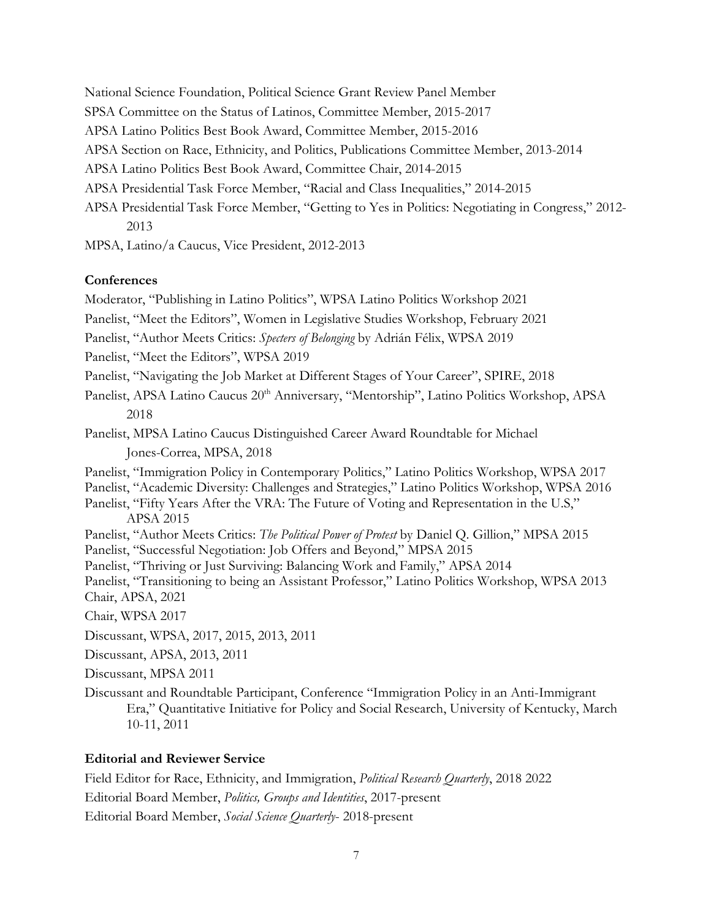National Science Foundation, Political Science Grant Review Panel Member

- SPSA Committee on the Status of Latinos, Committee Member, 2015-2017
- APSA Latino Politics Best Book Award, Committee Member, 2015-2016
- APSA Section on Race, Ethnicity, and Politics, Publications Committee Member, 2013-2014
- APSA Latino Politics Best Book Award, Committee Chair, 2014-2015
- APSA Presidential Task Force Member, "Racial and Class Inequalities," 2014-2015
- APSA Presidential Task Force Member, "Getting to Yes in Politics: Negotiating in Congress," 2012- 2013
- MPSA, Latino/a Caucus, Vice President, 2012-2013

#### **Conferences**

Moderator, "Publishing in Latino Politics", WPSA Latino Politics Workshop 2021 Panelist, "Meet the Editors", Women in Legislative Studies Workshop, February 2021

Panelist, "Author Meets Critics: *Specters of Belonging* by Adrián Félix, WPSA 2019

Panelist, "Meet the Editors", WPSA 2019

Panelist, "Navigating the Job Market at Different Stages of Your Career", SPIRE, 2018

Panelist, APSA Latino Caucus 20<sup>th</sup> Anniversary, "Mentorship", Latino Politics Workshop, APSA 2018

Panelist, MPSA Latino Caucus Distinguished Career Award Roundtable for Michael Jones-Correa, MPSA, 2018

- Panelist, "Immigration Policy in Contemporary Politics," Latino Politics Workshop, WPSA 2017
- Panelist, "Academic Diversity: Challenges and Strategies," Latino Politics Workshop, WPSA 2016
- Panelist, "Fifty Years After the VRA: The Future of Voting and Representation in the U.S," APSA 2015

Panelist, "Author Meets Critics: *The Political Power of Protest* by Daniel Q. Gillion," MPSA 2015 Panelist, "Successful Negotiation: Job Offers and Beyond," MPSA 2015

- Panelist, "Thriving or Just Surviving: Balancing Work and Family," APSA 2014
- 
- Panelist, "Transitioning to being an Assistant Professor," Latino Politics Workshop, WPSA 2013 Chair, APSA, 2021

Chair, WPSA 2017

Discussant, WPSA, 2017, 2015, 2013, 2011

Discussant, APSA, 2013, 2011

Discussant, MPSA 2011

Discussant and Roundtable Participant, Conference "Immigration Policy in an Anti-Immigrant Era," Quantitative Initiative for Policy and Social Research, University of Kentucky, March 10-11, 2011

#### **Editorial and Reviewer Service**

Field Editor for Race, Ethnicity, and Immigration, *Political Research Quarterly*, 2018 2022 Editorial Board Member, *Politics, Groups and Identities*, 2017-present Editorial Board Member, *Social Science Quarterly*- 2018-present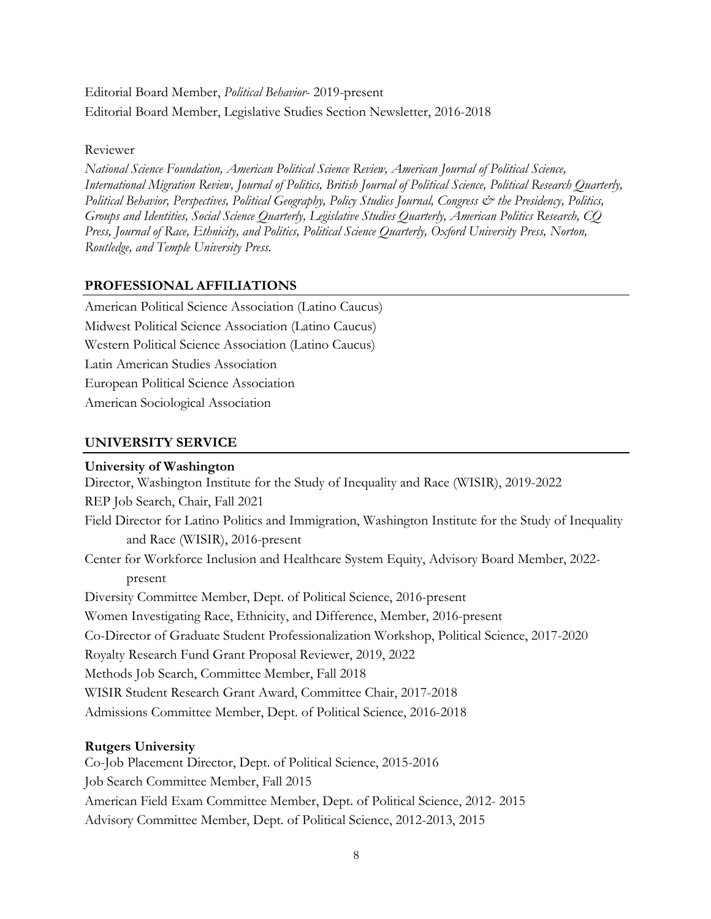# Editorial Board Member, *Political Behavior*- 2019-present Editorial Board Member, Legislative Studies Section Newsletter, 2016-2018

Reviewer

*National Science Foundation, American Political Science Review, American Journal of Political Science, International Migration Review, Journal of Politics, British Journal of Political Science, Political Research Quarterly, Political Behavior, Perspectives, Political Geography, Policy Studies Journal, Congress & the Presidency, Politics, Groups and Identities, Social Science Quarterly, Legislative Studies Quarterly, American Politics Research, CQ Press, Journal of Race, Ethnicity, and Politics, Political Science Quarterly, Oxford University Press, Norton, Routledge, and Temple University Press.*

### **PROFESSIONAL AFFILIATIONS**

American Political Science Association (Latino Caucus) Midwest Political Science Association (Latino Caucus) Western Political Science Association (Latino Caucus) Latin American Studies Association European Political Science Association American Sociological Association

### **UNIVERSITY SERVICE**

### **University of Washington**

Director, Washington Institute for the Study of Inequality and Race (WISIR), 2019-2022 REP Job Search, Chair, Fall 2021 Field Director for Latino Politics and Immigration, Washington Institute for the Study of Inequality and Race (WISIR), 2016-present Center for Workforce Inclusion and Healthcare System Equity, Advisory Board Member, 2022 present Diversity Committee Member, Dept. of Political Science, 2016-present Women Investigating Race, Ethnicity, and Difference, Member, 2016-present Co-Director of Graduate Student Professionalization Workshop, Political Science, 2017-2020 Royalty Research Fund Grant Proposal Reviewer, 2019, 2022 Methods Job Search, Committee Member, Fall 2018 WISIR Student Research Grant Award, Committee Chair, 2017-2018 Admissions Committee Member, Dept. of Political Science, 2016-2018

### **Rutgers University**

Co-Job Placement Director, Dept. of Political Science, 2015-2016 Job Search Committee Member, Fall 2015 American Field Exam Committee Member, Dept. of Political Science, 2012- 2015 Advisory Committee Member, Dept. of Political Science, 2012-2013, 2015